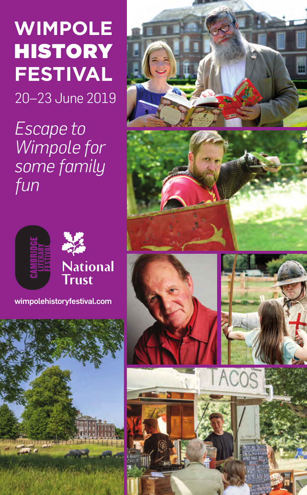# **WIMPOLE HISTORY FESTIVAL**

20–23 June 2019

*Escape to Wimpole for some family fun*



**wimpolehistoryfestival.com**



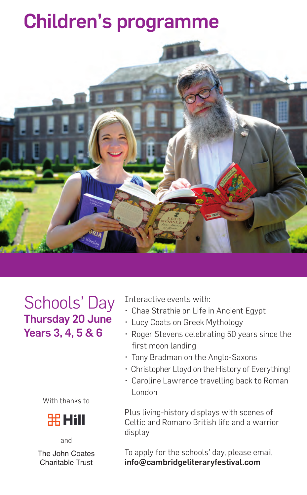## **Children's programme**



Schools' Day **Thursday 20 June Years 3, 4, 5 & 6**

With thanks to



and The John Coates Charitable Trust

Interactive events with:

- Chae Strathie on Life in Ancient Egypt
- Lucy Coats on Greek Mythology
- Roger Stevens celebrating 50 years since the first moon landing
- Tony Bradman on the Anglo-Saxons
- Christopher Lloyd on the History of Everything!
- Caroline Lawrence travelling back to Roman London

Plus living-history displays with scenes of Celtic and Romano British life and a warrior display

To apply for the schools' day, please email **info@cambridgeliteraryfestival.com**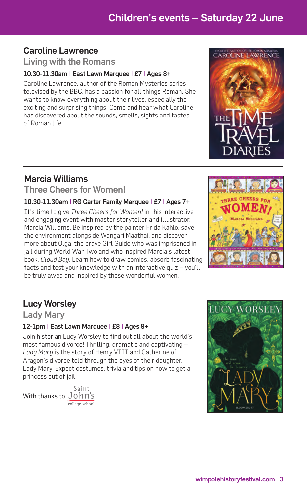### **Children's events – Saturday 22 June**

### **Caroline Lawrence**

### **Living with the Romans**

#### **10.30-11.30am | East Lawn Marquee | £7 | Ages 8+**

Caroline Lawrence, author of the Roman Mysteries series televised by the BBC, has a passion for all things Roman. She wants to know everything about their lives, especially the exciting and surprising things. Come and hear what Caroline has discovered about the sounds, smells, sights and tastes of Roman life.

### **Marcia Williams**

### **Three Cheers for Women!**

#### **10.30-11.30am | RG Carter Family Marquee | £7 | Ages 7+**

It's time to give *Three Cheers for Women!* in this interactive and engaging event with master storyteller and illustrator, Marcia Williams. Be inspired by the painter Frida Kahlo, save the environment alongside Wangari Maathai, and discover more about Olga, the brave Girl Guide who was imprisoned in jail during World War Two and who inspired Marcia's latest book, *Cloud Boy*. Learn how to draw comics, absorb fascinating facts and test your knowledge with an interactive quiz – you'll be truly awed and inspired by these wonderful women.



### **Lucy Worsley**

**Lady Mary**

### **12-1pm | East Lawn Marquee | £8 | Ages 9+**

Join historian Lucy Worsley to find out all about the world's most famous divorce! Thrilling, dramatic and captivating – *Lady Mary* is the story of Henry VIII and Catherine of Aragon's divorce told through the eyes of their daughter, Lady Mary. Expect costumes, trivia and tips on how to get a princess out of jail!

With thanks to John's







TROM THE ALITHOR OF THE ROMAN MYSTERIES<br>CAROLINE LAWRENCE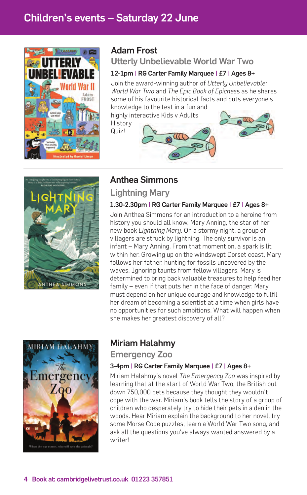

### **Adam Frost**

### **Utterly Unbelievable World War Two**

#### **12-1pm | RG Carter Family Marquee | £7 | Ages 8+**

Join the award-winning author of *Utterly Unbelievable: World War Two* and *The Epic Book of Epicnes*s as he shares some of his favourite historical facts and puts everyone's

knowledge to the test in a fun and highly interactive Kids v Adults

History Quiz!





### **Anthea Simmons**

**Lightning Mary**

### **1.30-2.30pm | RG Carter Family Marquee | £7 | Ages 8+**

Join Anthea Simmons for an introduction to a heroine from history you should all know, Mary Anning, the star of her new book *Lightning Mary*. On a stormy night, a group of villagers are struck by lightning. The only survivor is an infant – Mary Anning. From that moment on, a spark is lit within her. Growing up on the windswept Dorset coast, Mary follows her father, hunting for fossils uncovered by the waves. Ignoring taunts from fellow villagers, Mary is determined to bring back valuable treasures to help feed her family – even if that puts her in the face of danger. Mary must depend on her unique courage and knowledge to fulfil her dream of becoming a scientist at a time when girls have no opportunities for such ambitions. What will happen when she makes her greatest discovery of all?



### **Miriam Halahmy**

**Emergency Zoo** 

### **3-4pm | RG Carter Family Marquee | £7 | Ages 8+**

Miriam Halahmy's novel *The Emergency Zoo* was inspired by learning that at the start of World War Two, the British put down 750,000 pets because they thought they wouldn't cope with the war. Miriam's book tells the story of a group of children who desperately try to hide their pets in a den in the woods. Hear Miriam explain the background to her novel, try some Morse Code puzzles, learn a World War Two song, and ask all the questions you've always wanted answered by a writer!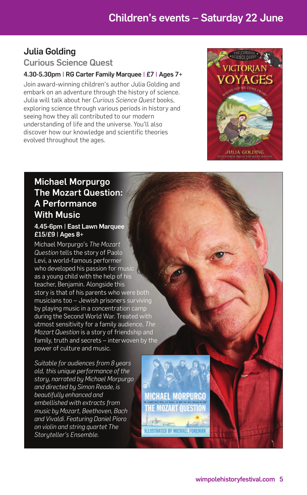### **Julia Golding Curious Science Quest**

#### **4.30-5.30pm | RG Carter Family Marquee | £7 | Ages 7+**

Join award-winning children's author Julia Golding and embark on an adventure through the history of science. Julia will talk about her *Curious Science Quest* books, exploring science through various periods in history and seeing how they all contributed to our modern understanding of life and the universe. You'll also discover how our knowledge and scientific theories evolved throughout the ages.



### **Michael Morpurgo The Mozart Question: A Performance With Music**

#### **4.45-6pm | East Lawn Marquee £15/£9 | Ages 8+**

Michael Morpurgo's *The Mozart Question* tells the story of Paolo Levi, a world-famous performer who developed his passion for music as a young child with the help of his teacher, Benjamin. Alongside this story is that of his parents who were both musicians too – Jewish prisoners surviving by playing music in a concentration camp during the Second World War. Treated with utmost sensitivity for a family audience, *The Mozart Question* is a story of friendship and family, truth and secrets – interwoven by the power of culture and music.

*Suitable for audiences from 8 years old, this unique performance of the story, narrated by Michael Morpurgo and directed by Simon Reade, is beautifully enhanced and embellished with extracts from music by Mozart, Beethoven, Bach and Vivaldi. Featuring Daniel Pioro on violin and string quartet The Storyteller's Ensemble.*

**MICHAEL MORPURGO MOZART OUESTION** 

**ILLUSTRATED BY MICHAEL FOREMAN**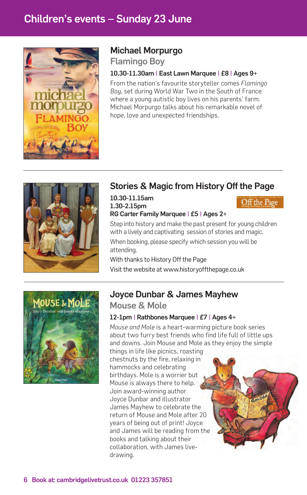### **Children's events – Sunday 23 June**



### **Michael Morpurgo**

**Flamingo Boy**

#### **10.30-11.30am | East Lawn Marquee | £8 | Ages 9+**

From the nation's favourite storyteller comes *Flamingo Boy*, set during World War Two in the South of France where a young autistic boy lives on his parents' farm. Michael Morpurgo talks about his remarkable novel of hope, love and unexpected friendships.



### **Stories & Magic from History Off the Page**

#### **10.30-11.15am 1.30-2.15pm RG Carter Family Marquee | £5 | Ages 2+**

Off the Page

Step into history and make the past present for young children with a lively and captivating session of stories and magic.

When booking, please specify which session you will be attending.

With thanks to History Off the Page

Visit the website at www.historyoffthepage.co.uk



### **Joyce Dunbar & James Mayhew**

### **Mouse & Mole**

### **12-1pm | Rathbones Marquee | £7 | Ages 4+**

*Mouse and Mole* is a heart-warming picture book series about two furry best friends who find life full of little ups and downs. Join Mouse and Mole as they enjoy the simple

things in life like picnics, roasting chestnuts by the fire, relaxing in hammocks and celebrating birthdays. Mole is a worrier but Mouse is always there to help. Join award-winning author Joyce Dunbar and illustrator James Mayhew to celebrate the return of Mouse and Mole after 20 years of being out of print! Joyce and James will be reading from the books and talking about their collaboration, with James livedrawing.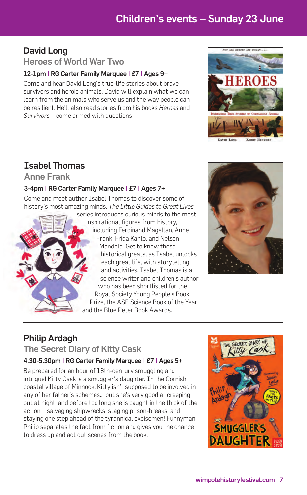### **Children's events – Sunday 23 June**

### **David Long**

### **Heroes of World War Two**

#### **12-1pm | RG Carter Family Marquee | £7 | Ages 9+**

Come and hear David Long's true-life stories about brave survivors and heroic animals. David will explain what we can learn from the animals who serve us and the way people can be resilient. He'll also read stories from his books *Heroes* and *Survivors* – come armed with questions!



### **Isabel Thomas**

**Anne Frank**

### **3-4pm | RG Carter Family Marquee | £7 | Ages 7+**

Come and meet author Isabel Thomas to discover some of history's most amazing minds. *The Little Guides to Great Lives*

> series introduces curious minds to the most inspirational figures from history, including Ferdinand Magellan, Anne Frank, Frida Kahlo, and Nelson Mandela. Get to know these historical greats, as Isabel unlocks each great life, with storytelling and activities. Isabel Thomas is a science writer and children's author who has been shortlisted for the Royal Society Young People's Book Prize, the ASE Science Book of the Year and the Blue Peter Book Awards.



### **Philip Ardagh**

**The Secret Diary of Kitty Cask**

### **4.30-5.30pm | RG Carter Family Marquee | £7 | Ages 5+**

Be prepared for an hour of 18th-century smuggling and intrique! Kitty Cask is a smuggler's daughter. In the Cornish coastal village of Minnock, Kitty isn't supposed to be involved in any of her father's schemes… but she's very good at creeping out at night, and before too long she is caught in the thick of the action – salvaging shipwrecks, staging prison-breaks, and staying one step ahead of the tyrannical excisemen! Funnyman Philip separates the fact from fiction and gives you the chance to dress up and act out scenes from the book.